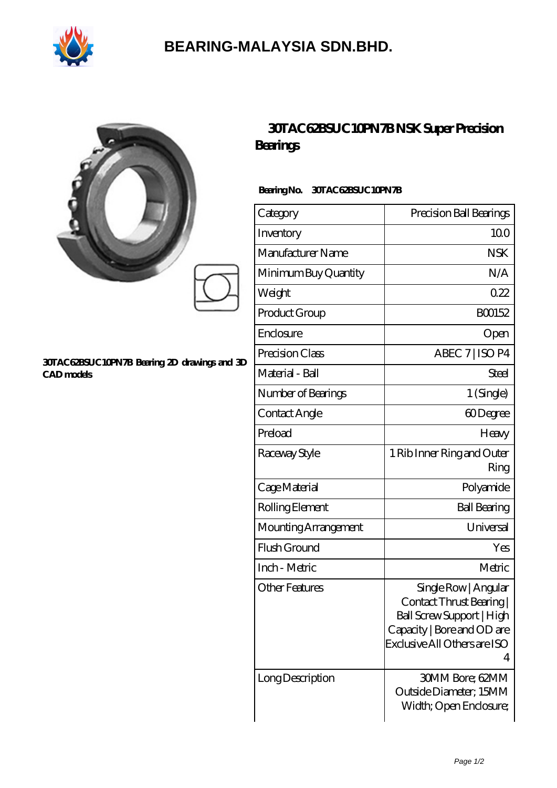

## **[BEARING-MALAYSIA SDN.BHD.](https://ferret-game.com)**

|                       | 30TAC62BSUC10PN7BNSK SuperPrecision<br><b>Bearings</b><br>BearingNo.<br>30TAC62BSUC10PN7B |                                                |
|-----------------------|-------------------------------------------------------------------------------------------|------------------------------------------------|
|                       |                                                                                           |                                                |
|                       | Inventory                                                                                 | 100                                            |
|                       | Manufacturer Name                                                                         | <b>NSK</b>                                     |
|                       | Minimum Buy Quantity                                                                      | N/A                                            |
|                       | Weight                                                                                    | 022                                            |
|                       | Product Group                                                                             | BO0152                                         |
|                       | Enclosure                                                                                 | Open                                           |
|                       | 30TAC62BSUC10PN7B Bearing 2D drawings and 3D<br><b>CAD</b> models                         | Precision Class                                |
| Material - Ball       |                                                                                           | Steel                                          |
| Number of Bearings    |                                                                                           | 1 (Single)                                     |
| Contact Angle         |                                                                                           | 60Degree                                       |
| Preload               |                                                                                           | Heavy                                          |
| Raceway Style         |                                                                                           | 1 Rib Inner Ring and Outer<br>Ring             |
| Cage Material         |                                                                                           | Polyamide                                      |
| Rolling Element       |                                                                                           | <b>Ball Bearing</b>                            |
| Mounting Arrangement  |                                                                                           | Universal                                      |
| Flush Ground          |                                                                                           | Yes                                            |
| Inch - Metric         |                                                                                           | Metric                                         |
| <b>Other Features</b> |                                                                                           | Single Row   Angular<br>Contact Thrust Bearing |

4

Ball Screw Support | High Capacity | Bore and OD are Exclusive All Others are ISO

Outside Diameter; 15MM Width; Open Enclosure;

| Long Description | 30MM Bore; 62MM